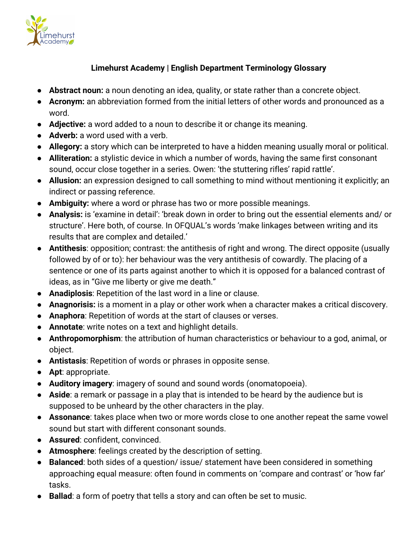

## **Limehurst Academy | English Department Terminology Glossary**

- **Abstract noun:** a noun denoting an idea, quality, or state rather than a concrete object.
- **Acronym:** an abbreviation formed from the initial letters of other words and pronounced as a word.
- **Adjective:** a word added to a noun to describe it or change its meaning.
- **Adverb:** a word used with a verb.
- **Allegory:** a story which can be interpreted to have a hidden meaning usually moral or political.
- **Alliteration:** a stylistic device in which a number of words, having the same first consonant sound, occur close together in a series. Owen: 'the stuttering rifles' rapid rattle'.
- **Allusion:** an expression designed to call something to mind without mentioning it explicitly; an indirect or passing reference.
- **Ambiguity:** where a word or phrase has two or more possible meanings.
- **Analysis:** is 'examine in detail': 'break down in order to bring out the essential elements and/ or structure'. Here both, of course. In OFQUAL's words 'make linkages between writing and its results that are complex and detailed.'
- **Antithesis**: opposition; contrast: the antithesis of right and wrong. The direct opposite (usually followed by of or to): her behaviour was the very antithesis of cowardly. The placing of a sentence or one of its parts against another to which it is opposed for a balanced contrast of ideas, as in "Give me liberty or give me death."
- **Anadiplosis**: Repetition of the last word in a line or clause.
- **Anagnorisis:** is a moment in a play or other work when a character makes a critical discovery.
- **Anaphora**: Repetition of words at the start of clauses or verses.
- **Annotate**: write notes on a text and highlight details.
- **Anthropomorphism**: the attribution of human characteristics or behaviour to a god, animal, or object.
- **Antistasis**: Repetition of words or phrases in opposite sense.
- **Apt**: appropriate.
- **Auditory imagery**: imagery of sound and sound words (onomatopoeia).
- **Aside**: a remark or passage in a play that is intended to be heard by the audience but is supposed to be unheard by the other characters in the play.
- **Assonance**: takes place when two or more words close to one another repeat the same vowel sound but start with different consonant sounds.
- **Assured**: confident, convinced.
- **Atmosphere**: feelings created by the description of setting.
- **Balanced**: both sides of a question/ issue/ statement have been considered in something approaching equal measure: often found in comments on 'compare and contrast' or 'how far' tasks.
- **Ballad**: a form of poetry that tells a story and can often be set to music.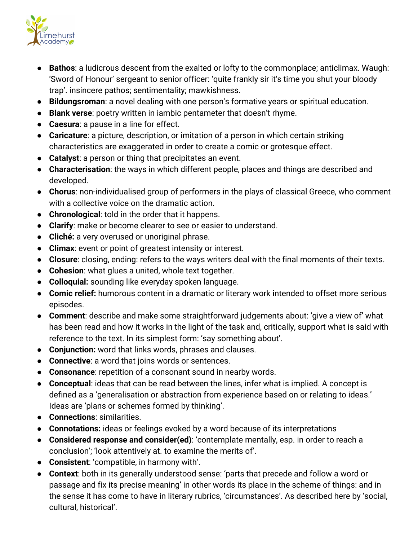

- **Bathos**: a ludicrous descent from the exalted or lofty to the commonplace; anticlimax. Waugh: 'Sword of Honour' sergeant to senior officer: 'quite frankly sir it's time you shut your bloody trap'. insincere pathos; sentimentality; mawkishness.
- **Bildungsroman**: a novel dealing with one person's formative years or spiritual education.
- **Blank verse**: poetry written in iambic pentameter that doesn't rhyme.
- **Caesura**: a pause in a line for effect.
- **Caricature**: a picture, description, or imitation of a person in which certain striking characteristics are exaggerated in order to create a comic or grotesque effect.
- **Catalyst**: a person or thing that precipitates an event.
- **Characterisation**: the ways in which different people, places and things are described and developed.
- **Chorus**: non-individualised group of performers in the plays of classical Greece, who comment with a collective voice on the dramatic action.
- **Chronological**: told in the order that it happens.
- **Clarify**: make or become clearer to see or easier to understand.
- **Cliché:** a very overused or unoriginal phrase.
- **Climax**: event or point of greatest intensity or interest.
- **Closure**: closing, ending: refers to the ways writers deal with the final moments of their texts.
- **Cohesion**: what glues a united, whole text together.
- **Colloquial:** sounding like everyday spoken language.
- **Comic relief:** humorous content in a dramatic or literary work intended to offset more serious episodes.
- **Comment**: describe and make some straightforward judgements about: 'give a view of' what has been read and how it works in the light of the task and, critically, support what is said with reference to the text. In its simplest form: 'say something about'.
- **Conjunction:** word that links words, phrases and clauses.
- **Connective**: a word that joins words or sentences.
- **Consonance**: repetition of a consonant sound in nearby words.
- **Conceptual**: ideas that can be read between the lines, infer what is implied. A concept is defined as a 'generalisation or abstraction from experience based on or relating to ideas.' Ideas are 'plans or schemes formed by thinking'.
- **Connections**: similarities.
- **Connotations:** ideas or feelings evoked by a word because of its interpretations
- **Considered response and consider(ed)**: 'contemplate mentally, esp. in order to reach a conclusion'; 'look attentively at. to examine the merits of'.
- **Consistent**: 'compatible, in harmony with'.
- **Context**: both in its generally understood sense: 'parts that precede and follow a word or passage and fix its precise meaning' in other words its place in the scheme of things: and in the sense it has come to have in literary rubrics, 'circumstances'. As described here by 'social, cultural, historical'.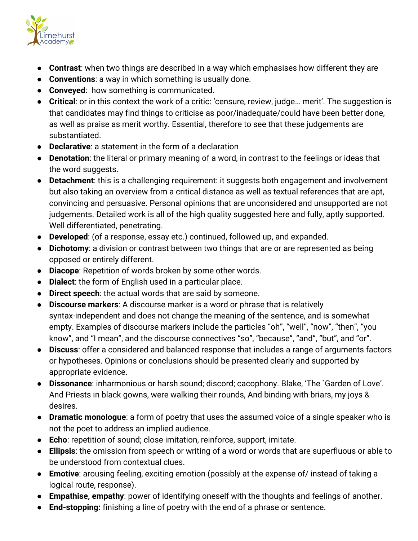

- **Contrast**: when two things are described in a way which emphasises how different they are
- **Conventions**: a way in which something is usually done.
- **Conveyed**: how something is communicated.
- **Critical**: or in this context the work of a critic: 'censure, review, judge… merit'. The suggestion is that candidates may find things to criticise as poor/inadequate/could have been better done, as well as praise as merit worthy. Essential, therefore to see that these judgements are substantiated.
- **Declarative**: a statement in the form of a declaration
- **Denotation**: the literal or primary meaning of a word, in contrast to the feelings or ideas that the word suggests.
- **Detachment**: this is a challenging requirement: it suggests both engagement and involvement but also taking an overview from a critical distance as well as textual references that are apt, convincing and persuasive. Personal opinions that are unconsidered and unsupported are not judgements. Detailed work is all of the high quality suggested here and fully, aptly supported. Well differentiated, penetrating.
- **Developed**: (of a response, essay etc.) continued, followed up, and expanded.
- **Dichotomy**: a division or contrast between two things that are or are represented as being opposed or entirely different.
- **Diacope**: Repetition of words broken by some other words.
- **Dialect**: the form of English used in a particular place.
- **Direct speech**: the actual words that are said by someone.
- **Discourse markers**: A discourse marker is a word or phrase that is relatively syntax-independent and does not change the meaning of the sentence, and is somewhat empty. Examples of discourse markers include the particles "oh", "well", "now", "then", "you know", and "I mean", and the discourse connectives "so", "because", "and", "but", and "or".
- **Discuss**: offer a considered and balanced response that includes a range of arguments factors or hypotheses. Opinions or conclusions should be presented clearly and supported by appropriate evidence.
- **Dissonance**: inharmonious or harsh sound; discord; cacophony. Blake, 'The `Garden of Love'. And Priests in black gowns, were walking their rounds, And binding with briars, my joys & desires.
- **Dramatic monologue**: a form of poetry that uses the assumed voice of a single speaker who is not the poet to address an implied audience.
- **Echo**: repetition of sound; close imitation, reinforce, support, imitate.
- **Ellipsis**: the omission from speech or writing of a word or words that are superfluous or able to be understood from contextual clues.
- **Emotive**: arousing feeling, exciting emotion (possibly at the expense of/ instead of taking a logical route, response).
- **Empathise, empathy**: power of identifying oneself with the thoughts and feelings of another.
- **End-stopping:** finishing a line of poetry with the end of a phrase or sentence.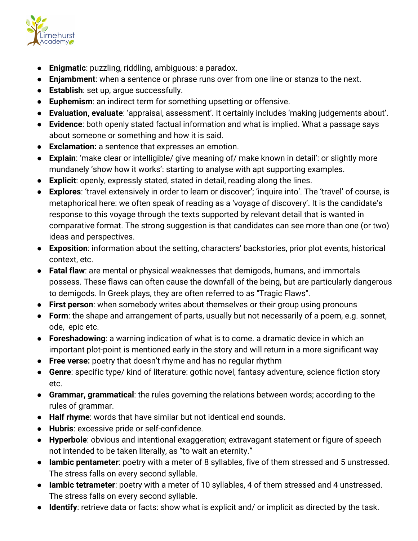

- **Enigmatic**: puzzling, riddling, ambiguous: a paradox.
- **Enjambment**: when a sentence or phrase runs over from one line or stanza to the next.
- **Establish**: set up, argue successfully.
- **Euphemism**: an indirect term for something upsetting or offensive.
- **Evaluation, evaluate**: 'appraisal, assessment'. It certainly includes 'making judgements about'.
- **Evidence**: both openly stated factual information and what is implied. What a passage says about someone or something and how it is said.
- **Exclamation:** a sentence that expresses an emotion.
- **Explain**: 'make clear or intelligible/ give meaning of/ make known in detail': or slightly more mundanely 'show how it works': starting to analyse with apt supporting examples.
- **Explicit**: openly, expressly stated, stated in detail, reading along the lines.
- **Explores**: 'travel extensively in order to learn or discover'; 'inquire into'. The 'travel' of course, is metaphorical here: we often speak of reading as a 'voyage of discovery'. It is the candidate's response to this voyage through the texts supported by relevant detail that is wanted in comparative format. The strong suggestion is that candidates can see more than one (or two) ideas and perspectives.
- **Exposition**: information about the setting, characters' backstories, prior plot events, historical context, etc.
- **Fatal flaw**: are mental or physical weaknesses that demigods, humans, and immortals possess. These flaws can often cause the downfall of the being, but are particularly dangerous to demigods. In Greek plays, they are often referred to as "Tragic Flaws".
- **First person**: when somebody writes about themselves or their group using pronouns
- **Form**: the shape and arrangement of parts, usually but not necessarily of a poem, e.g. sonnet, ode, epic etc.
- **Foreshadowing**: a warning indication of what is to come. a dramatic device in which an important plot-point is mentioned early in the story and will return in a more significant way
- **Free verse:** poetry that doesn't rhyme and has no regular rhythm
- **Genre**: specific type/ kind of literature: gothic novel, fantasy adventure, science fiction story etc.
- **Grammar, grammatical**: the rules governing the relations between words; according to the rules of grammar.
- **Half rhyme**: words that have similar but not identical end sounds.
- **Hubris**: excessive pride or self-confidence.
- **Hyperbole**: obvious and intentional exaggeration; extravagant statement or figure of speech not intended to be taken literally, as "to wait an eternity."
- **Iambic pentameter**: poetry with a meter of 8 syllables, five of them stressed and 5 unstressed. The stress falls on every second syllable.
- **Iambic tetrameter**: poetry with a meter of 10 syllables, 4 of them stressed and 4 unstressed. The stress falls on every second syllable.
- **Identify**: retrieve data or facts: show what is explicit and/ or implicit as directed by the task.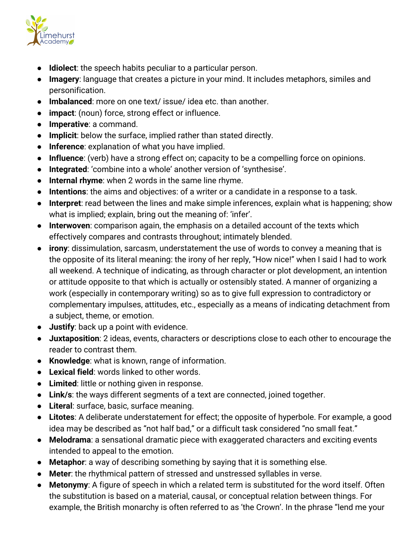

- **Idiolect**: the speech habits peculiar to a particular person.
- **Imagery**: language that creates a picture in your mind. It includes metaphors, similes and personification.
- **Imbalanced**: more on one text/ issue/ idea etc. than another.
- **impact**: (noun) force, strong effect or influence.
- **Imperative**: a command.
- **Implicit**: below the surface, implied rather than stated directly.
- **Inference**: explanation of what you have implied.
- **Influence**: (verb) have a strong effect on; capacity to be a compelling force on opinions.
- **Integrated**: 'combine into a whole' another version of 'synthesise'.
- **Internal rhyme**: when 2 words in the same line rhyme.
- **Intentions**: the aims and objectives: of a writer or a candidate in a response to a task.
- **Interpret**: read between the lines and make simple inferences, explain what is happening; show what is implied; explain, bring out the meaning of: 'infer'.
- **Interwoven**: comparison again, the emphasis on a detailed account of the texts which effectively compares and contrasts throughout; intimately blended.
- **irony**: dissimulation, sarcasm, understatement the use of words to convey a meaning that is the opposite of its literal meaning: the irony of her reply, "How nice!" when I said I had to work all weekend. A technique of indicating, as through character or plot development, an intention or attitude opposite to that which is actually or ostensibly stated. A manner of organizing a work (especially in contemporary writing) so as to give full expression to contradictory or complementary impulses, attitudes, etc., especially as a means of indicating detachment from a subject, theme, or emotion.
- **Justify**: back up a point with evidence.
- **Juxtaposition**: 2 ideas, events, characters or descriptions close to each other to encourage the reader to contrast them.
- **Knowledge**: what is known, range of information.
- **Lexical field**: words linked to other words.
- **Limited**: little or nothing given in response.
- **Link/s**: the ways different segments of a text are connected, joined together.
- **Literal**: surface, basic, surface meaning.
- **Litotes**: A deliberate understatement for effect; the opposite of hyperbole. For example, a good idea may be described as "not half bad," or a difficult task considered "no small feat."
- **Melodrama**: a sensational dramatic piece with exaggerated characters and exciting events intended to appeal to the emotion.
- **Metaphor**: a way of describing something by saying that it is something else.
- **Meter**: the rhythmical pattern of stressed and unstressed syllables in verse.
- **Metonymy**: A figure of speech in which a related term is substituted for the word itself. Often the substitution is based on a material, causal, or conceptual relation between things. For example, the British monarchy is often referred to as 'the Crown'. In the phrase "lend me your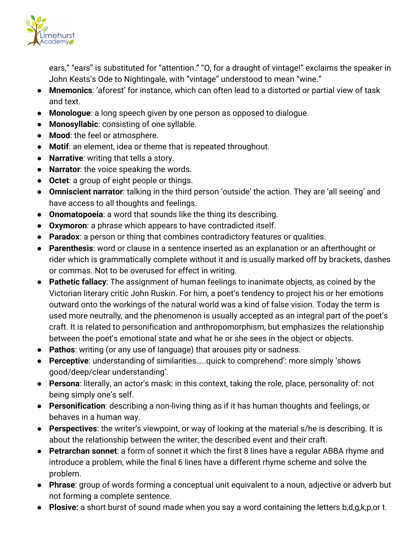

ears," "ears" is substituted for "attention." "O, for a draught of vintage!" exclaims the speaker in John Keats's Ode to Nightingale, with "vintage" understood to mean "wine."

- **Mnemonics**: 'aforest' for instance, which can often lead to a distorted or partial view of task and text.
- **Monologue**: a long speech given by one person as opposed to dialogue.
- **Monosyllabic**: consisting of one syllable.
- **Mood**: the feel or atmosphere.
- **Motif**: an element, idea or theme that is repeated throughout.
- **Narrative**: writing that tells a story.
- **Narrator**: the voice speaking the words.
- **Octet**: a group of eight people or things.
- **Omniscient narrator**: talking in the third person 'outside' the action. They are 'all seeing' and have access to all thoughts and feelings.
- **Onomatopoeia**: a word that sounds like the thing its describing.
- **Oxymoron**: a phrase which appears to have contradicted itself.
- **Paradox**: a person or thing that combines contradictory features or qualities.
- **Parenthesis**: word or clause in a sentence inserted as an explanation or an afterthought or rider which is grammatically complete without it and is usually marked off by brackets, dashes or commas. Not to be overused for effect in writing.
- **Pathetic fallacy**: The assignment of human feelings to inanimate objects, as coined by the Victorian literary critic John Ruskin. For him, a poet's tendency to project his or her emotions outward onto the workings of the natural world was a kind of false vision. Today the term is used more neutrally, and the phenomenon is usually accepted as an integral part of the poet's craft. It is related to personification and anthropomorphism, but emphasizes the relationship between the poet's emotional state and what he or she sees in the object or objects.
- **Pathos**: writing (or any use of language) that arouses pity or sadness.
- **Perceptive**: understanding of similarities…..quick to comprehend': more simply 'shows good/deep/clear understanding'.
- **Persona**: literally, an actor's mask: in this context, taking the role, place, personality of: not being simply one's self.
- **Personification**: describing a non-living thing as if it has human thoughts and feelings, or behaves in a human way.
- **Perspectives**: the writer's viewpoint, or way of looking at the material s/he is describing. It is about the relationship between the writer, the described event and their craft.
- **Petrarchan sonnet**: a form of sonnet it which the first 8 lines have a regular ABBA rhyme and introduce a problem, while the final 6 lines have a different rhyme scheme and solve the problem.
- **Phrase**: group of words forming a conceptual unit equivalent to a noun, adjective or adverb but not forming a complete sentence.
- **Plosive:** a short burst of sound made when you say a word containing the letters b,d,g,k,p,or t.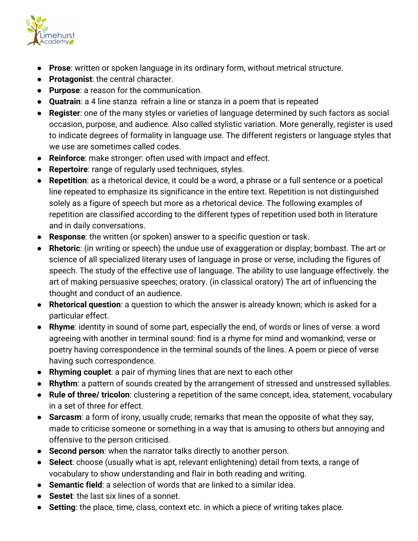

- **Prose**: written or spoken language in its ordinary form, without metrical structure.
- **Protagonist**: the central character.
- **Purpose**: a reason for the communication.
- **Quatrain**: a 4 line stanza refrain a line or stanza in a poem that is repeated
- **Register**: one of the many styles or varieties of language determined by such factors as social occasion, purpose, and audience. Also called stylistic variation. More generally, register is used to indicate degrees of formality in language use. The different registers or language styles that we use are sometimes called codes.
- **Reinforce**: make stronger: often used with impact and effect.
- **Repertoire**: range of regularly used techniques, styles.
- **Repetition**: as a rhetorical device, it could be a word, a phrase or a full sentence or a poetical line repeated to emphasize its significance in the entire text. Repetition is not distinguished solely as a figure of speech but more as a rhetorical device. The following examples of repetition are classified according to the different types of repetition used both in literature and in daily conversations.
- **Response**: the written (or spoken) answer to a specific question or task.
- **Rhetoric**: (in writing or speech) the undue use of exaggeration or display; bombast. The art or science of all specialized literary uses of language in prose or verse, including the figures of speech. The study of the effective use of language. The ability to use language effectively. the art of making persuasive speeches; oratory. (in classical oratory) The art of influencing the thought and conduct of an audience.
- **Rhetorical question**: a question to which the answer is already known; which is asked for a particular effect.
- **Rhyme**: identity in sound of some part, especially the end, of words or lines of verse. a word agreeing with another in terminal sound: find is a rhyme for mind and womankind; verse or poetry having correspondence in the terminal sounds of the lines. A poem or piece of verse having such correspondence.
- **Rhyming couplet**: a pair of rhyming lines that are next to each other
- **Rhythm**: a pattern of sounds created by the arrangement of stressed and unstressed syllables.
- **Rule of three/ tricolon**: clustering a repetition of the same concept, idea, statement, vocabulary in a set of three for effect.
- **Sarcasm**: a form of irony, usually crude; remarks that mean the opposite of what they say, made to criticise someone or something in a way that is amusing to others but annoying and offensive to the person criticised.
- **Second person**: when the narrator talks directly to another person.
- **Select**: choose (usually what is apt, relevant enlightening) detail from texts, a range of vocabulary to show understanding and flair in both reading and writing.
- **Semantic field**: a selection of words that are linked to a similar idea.
- **Sestet**: the last six lines of a sonnet.
- **Setting**: the place, time, class, context etc. in which a piece of writing takes place.